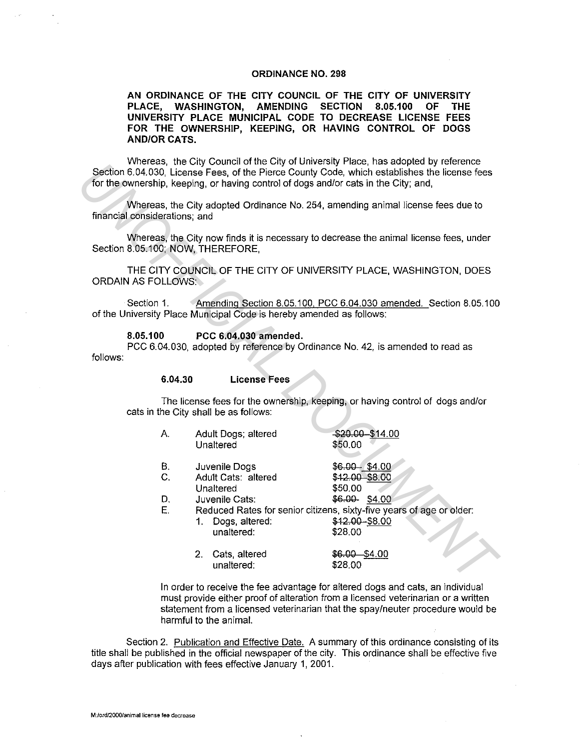## ORDINANCE NO. 298

AN ORDINANCE OF THE CITY COUNCIL OF THE CITY OF UNIVERSITY PLACE, WASHINGTON, AMENDING SECTION 8.05.100 OF THE UNIVERSITY PLACE MUNICIPAL CODE TO DECREASE LICENSE FEES FOR THE OWNERSHIP, KEEPING, OR HAVING CONTROL OF DOGS AND/OR CATS.

Whereas, the City Council of the City of University Place, has adopted by reference Section 6.04.030, License Fees, of the Pierce County Code, which establishes the license fees for the ownership, keeping, or having control of dogs and/or cats in the City; and,

|                                                                                                                             | vvileteds, The Oily Outflot of the Oily of Oniversity Flace, has auopted by feletence.<br>Section 6.04.030, License Fees, of the Pierce County Code, which establishes the license fees<br>for the ownership, keeping, or having control of dogs and/or cats in the City; and,                                                                                                               |                                                                                                                   |                                                                                                                            |                                                                                                                                                                                         |  |
|-----------------------------------------------------------------------------------------------------------------------------|----------------------------------------------------------------------------------------------------------------------------------------------------------------------------------------------------------------------------------------------------------------------------------------------------------------------------------------------------------------------------------------------|-------------------------------------------------------------------------------------------------------------------|----------------------------------------------------------------------------------------------------------------------------|-----------------------------------------------------------------------------------------------------------------------------------------------------------------------------------------|--|
|                                                                                                                             |                                                                                                                                                                                                                                                                                                                                                                                              | Whereas, the City adopted Ordinance No. 254, amending animal license fees due to<br>financial considerations; and |                                                                                                                            |                                                                                                                                                                                         |  |
| Whereas, the City now finds it is necessary to decrease the animal license fees, under<br>Section 8.05.100; NOW, THEREFORE, |                                                                                                                                                                                                                                                                                                                                                                                              |                                                                                                                   |                                                                                                                            |                                                                                                                                                                                         |  |
|                                                                                                                             | THE CITY COUNCIL OF THE CITY OF UNIVERSITY PLACE, WASHINGTON, DOES<br><b>ORDAIN AS FOLLOWS:</b><br>Amending Section 8.05.100, PCC 6.04.030 amended. Section 8.05.100<br>Section 1.<br>of the University Place Municipal Code is hereby amended as follows:<br>8.05.100<br>PCC 6.04.030 amended.<br>PCC 6.04.030, adopted by reference by Ordinance No. 42, is amended to read as<br>follows: |                                                                                                                   |                                                                                                                            |                                                                                                                                                                                         |  |
|                                                                                                                             |                                                                                                                                                                                                                                                                                                                                                                                              |                                                                                                                   |                                                                                                                            |                                                                                                                                                                                         |  |
|                                                                                                                             |                                                                                                                                                                                                                                                                                                                                                                                              |                                                                                                                   |                                                                                                                            |                                                                                                                                                                                         |  |
|                                                                                                                             |                                                                                                                                                                                                                                                                                                                                                                                              | 6.04.30                                                                                                           | <b>License Fees</b>                                                                                                        |                                                                                                                                                                                         |  |
| The license fees for the ownership, keeping, or having control of dogs and/or<br>cats in the City shall be as follows:      |                                                                                                                                                                                                                                                                                                                                                                                              |                                                                                                                   |                                                                                                                            |                                                                                                                                                                                         |  |
|                                                                                                                             |                                                                                                                                                                                                                                                                                                                                                                                              | Α.                                                                                                                | Adult Dogs; altered<br>Unaltered                                                                                           | $$20.00 - $14.00$<br>\$50,00                                                                                                                                                            |  |
|                                                                                                                             |                                                                                                                                                                                                                                                                                                                                                                                              | В.<br>C.<br>D.<br>E.                                                                                              | Juvenile Dogs<br>Adult Cats: altered<br>Unaltered<br>Juvenile Cats:<br>1. Dogs, altered:<br>unaltered:<br>2. Cats, altered | $$6.00 - $4.00$<br>\$42.00 \$8.00<br>\$50.00<br>\$6.00-\$4.00<br>Reduced Rates for senior citizens, sixty-five years of age or older:<br>\$12.00 - \$8.00<br>\$28.00<br>$$6.00 - $4.00$ |  |
|                                                                                                                             |                                                                                                                                                                                                                                                                                                                                                                                              |                                                                                                                   | unaltered:<br>والمستمرات المستحققات ومكانية ومستقطع ومنابي مستلام والقراوية والمتحدث والمتحدث                              | \$28.00                                                                                                                                                                                 |  |
|                                                                                                                             |                                                                                                                                                                                                                                                                                                                                                                                              |                                                                                                                   |                                                                                                                            |                                                                                                                                                                                         |  |

In order to receive the fee advantage for altered dogs and cats, an individual must provide either proof of alteration from a licensed veterinarian or a written statement from a licensed veterinarian that the spay/neuter procedure would be harmful to the animal.

Section 2. Publication and Effective Date. A summary of this ordinance consisting of its title shall be published in the official newspaper of the city. This ordinance shall be effective five days after publication with fees effective January 1, 2001.